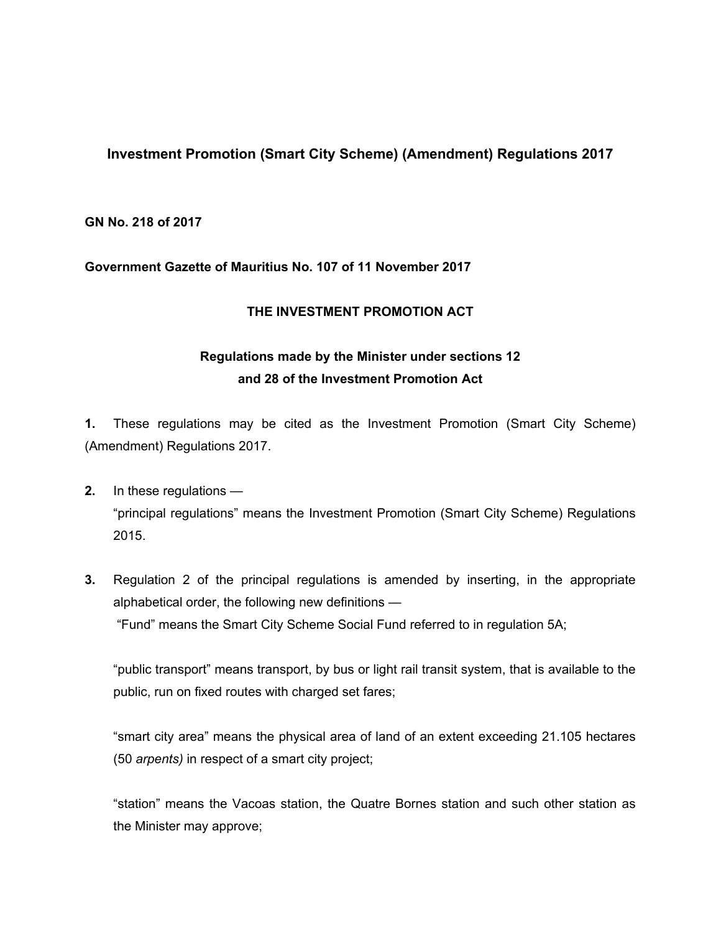# **Investment Promotion (Smart City Scheme) (Amendment) Regulations 2017**

#### **GN No. 218 of 2017**

## **Government Gazette of Mauritius No. 107 of 11 November 2017**

## **THE INVESTMENT PROMOTION ACT**

# **Regulations made by the Minister under sections 12 and 28 of the Investment Promotion Act**

**1.** These regulations may be cited as the Investment Promotion (Smart City Scheme) (Amendment) Regulations 2017.

- **2.** In these regulations "principal regulations" means the Investment Promotion (Smart City Scheme) Regulations 2015.
- **3.** Regulation 2 of the principal regulations is amended by inserting, in the appropriate alphabetical order, the following new definitions — "Fund" means the Smart City Scheme Social Fund referred to in regulation 5A;

"public transport" means transport, by bus or light rail transit system, that is available to the public, run on fixed routes with charged set fares;

"smart city area" means the physical area of land of an extent exceeding 21.105 hectares (50 *arpents)* in respect of a smart city project;

"station" means the Vacoas station, the Quatre Bornes station and such other station as the Minister may approve;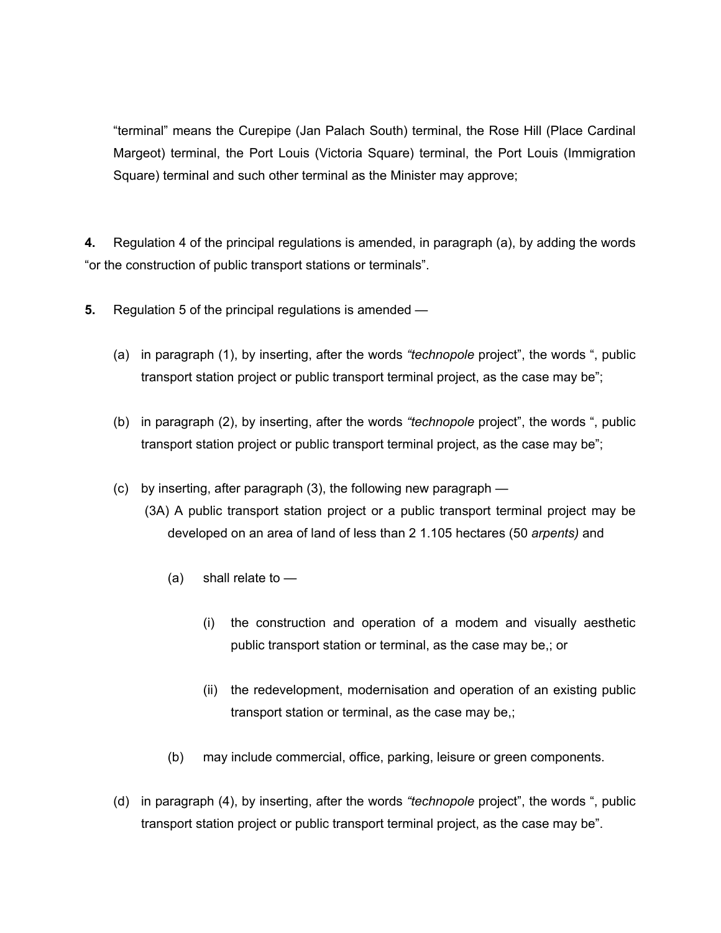"terminal" means the Curepipe (Jan Palach South) terminal, the Rose Hill (Place Cardinal Margeot) terminal, the Port Louis (Victoria Square) terminal, the Port Louis (Immigration Square) terminal and such other terminal as the Minister may approve;

**4.** Regulation 4 of the principal regulations is amended, in paragraph (a), by adding the words "or the construction of public transport stations or terminals".

- **5.** Regulation 5 of the principal regulations is amended
	- (a) in paragraph (1), by inserting, after the words *"technopole* project", the words ", public transport station project or public transport terminal project, as the case may be";
	- (b) in paragraph (2), by inserting, after the words *"technopole* project", the words ", public transport station project or public transport terminal project, as the case may be";
	- (c) by inserting, after paragraph (3), the following new paragraph
		- (3A) A public transport station project or a public transport terminal project may be developed on an area of land of less than 2 1.105 hectares (50 *arpents)* and
			- $(a)$  shall relate to  $-$ 
				- (i) the construction and operation of a modem and visually aesthetic public transport station or terminal, as the case may be,; or
				- (ii) the redevelopment, modernisation and operation of an existing public transport station or terminal, as the case may be,;
			- (b) may include commercial, office, parking, leisure or green components.
	- (d) in paragraph (4), by inserting, after the words *"technopole* project", the words ", public transport station project or public transport terminal project, as the case may be".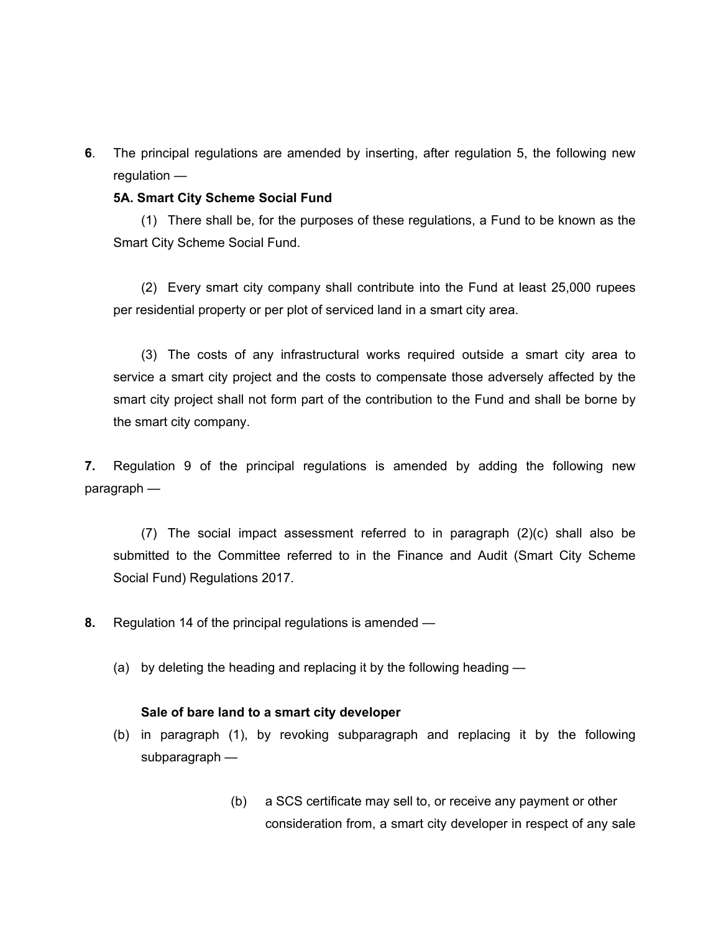**6**. The principal regulations are amended by inserting, after regulation 5, the following new regulation —

#### **5A. Smart City Scheme Social Fund**

(1) There shall be, for the purposes of these regulations, a Fund to be known as the Smart City Scheme Social Fund.

(2) Every smart city company shall contribute into the Fund at least 25,000 rupees per residential property or per plot of serviced land in a smart city area.

(3) The costs of any infrastructural works required outside a smart city area to service a smart city project and the costs to compensate those adversely affected by the smart city project shall not form part of the contribution to the Fund and shall be borne by the smart city company.

**7.** Regulation 9 of the principal regulations is amended by adding the following new paragraph —

(7) The social impact assessment referred to in paragraph (2)(c) shall also be submitted to the Committee referred to in the Finance and Audit (Smart City Scheme Social Fund) Regulations 2017.

- **8.** Regulation 14 of the principal regulations is amended
	- (a) by deleting the heading and replacing it by the following heading —

#### **Sale of bare land to a smart city developer**

- (b) in paragraph (1), by revoking subparagraph and replacing it by the following subparagraph —
	- (b) a SCS certificate may sell to, or receive any payment or other consideration from, a smart city developer in respect of any sale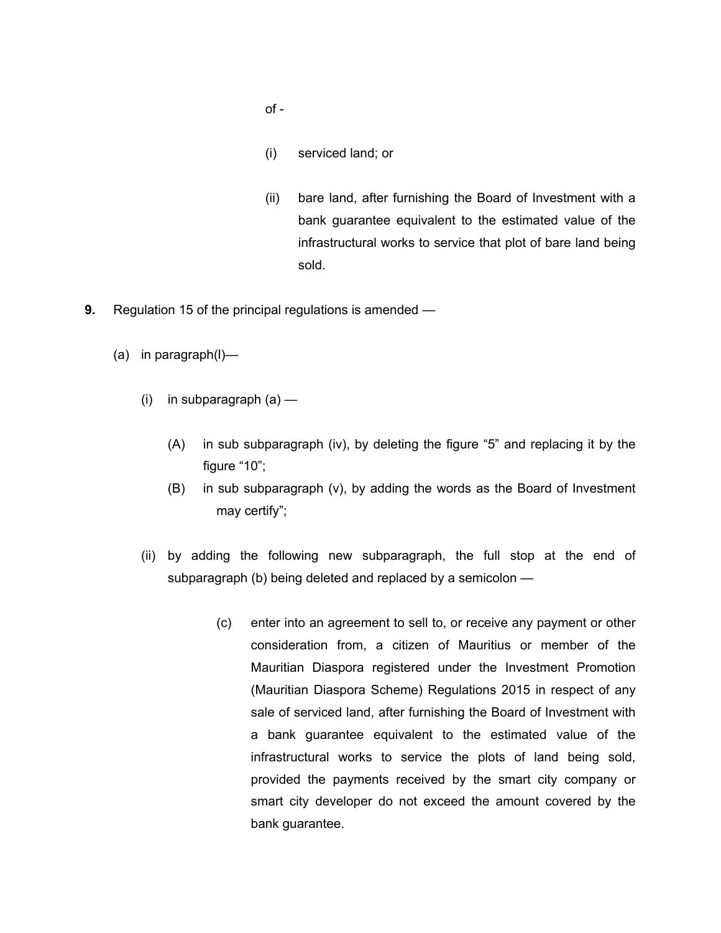- of -
- (i) serviced land; or
- (ii) bare land, after furnishing the Board of Investment with a bank guarantee equivalent to the estimated value of the infrastructural works to service that plot of bare land being sold.
- **9.** Regulation 15 of the principal regulations is amended
	- (a) in paragraph(l)—
		- $(i)$  in subparagraph  $(a)$ 
			- (A) in sub subparagraph (iv), by deleting the figure "5" and replacing it by the figure "10";
			- (B) in sub subparagraph (v), by adding the words as the Board of Investment may certify";
		- (ii) by adding the following new subparagraph, the full stop at the end of subparagraph (b) being deleted and replaced by a semicolon —
			- (c) enter into an agreement to sell to, or receive any payment or other consideration from, a citizen of Mauritius or member of the Mauritian Diaspora registered under the Investment Promotion (Mauritian Diaspora Scheme) Regulations 2015 in respect of any sale of serviced land, after furnishing the Board of Investment with a bank guarantee equivalent to the estimated value of the infrastructural works to service the plots of land being sold, provided the payments received by the smart city company or smart city developer do not exceed the amount covered by the bank guarantee.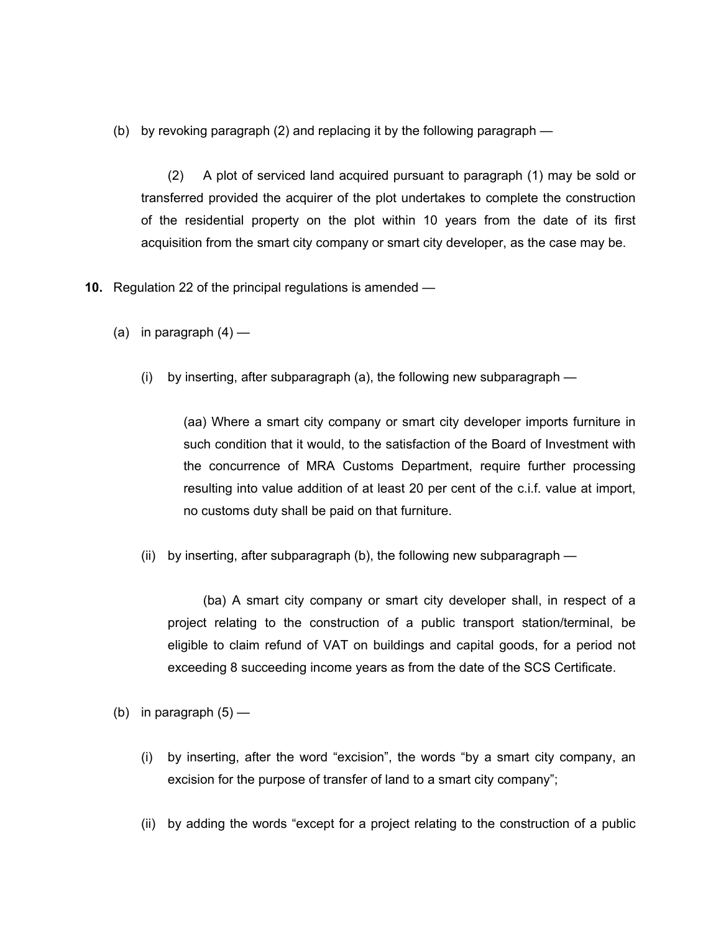(b) by revoking paragraph (2) and replacing it by the following paragraph —

(2) A plot of serviced land acquired pursuant to paragraph (1) may be sold or transferred provided the acquirer of the plot undertakes to complete the construction of the residential property on the plot within 10 years from the date of its first acquisition from the smart city company or smart city developer, as the case may be.

- **10.** Regulation 22 of the principal regulations is amended
	- (a) in paragraph  $(4)$ 
		- (i) by inserting, after subparagraph (a), the following new subparagraph —

(aa) Where a smart city company or smart city developer imports furniture in such condition that it would, to the satisfaction of the Board of Investment with the concurrence of MRA Customs Department, require further processing resulting into value addition of at least 20 per cent of the c.i.f. value at import, no customs duty shall be paid on that furniture.

(ii) by inserting, after subparagraph (b), the following new subparagraph —

(ba) A smart city company or smart city developer shall, in respect of a project relating to the construction of a public transport station/terminal, be eligible to claim refund of VAT on buildings and capital goods, for a period not exceeding 8 succeeding income years as from the date of the SCS Certificate.

- (b) in paragraph  $(5)$ 
	- (i) by inserting, after the word "excision", the words "by a smart city company, an excision for the purpose of transfer of land to a smart city company";
	- (ii) by adding the words "except for a project relating to the construction of a public